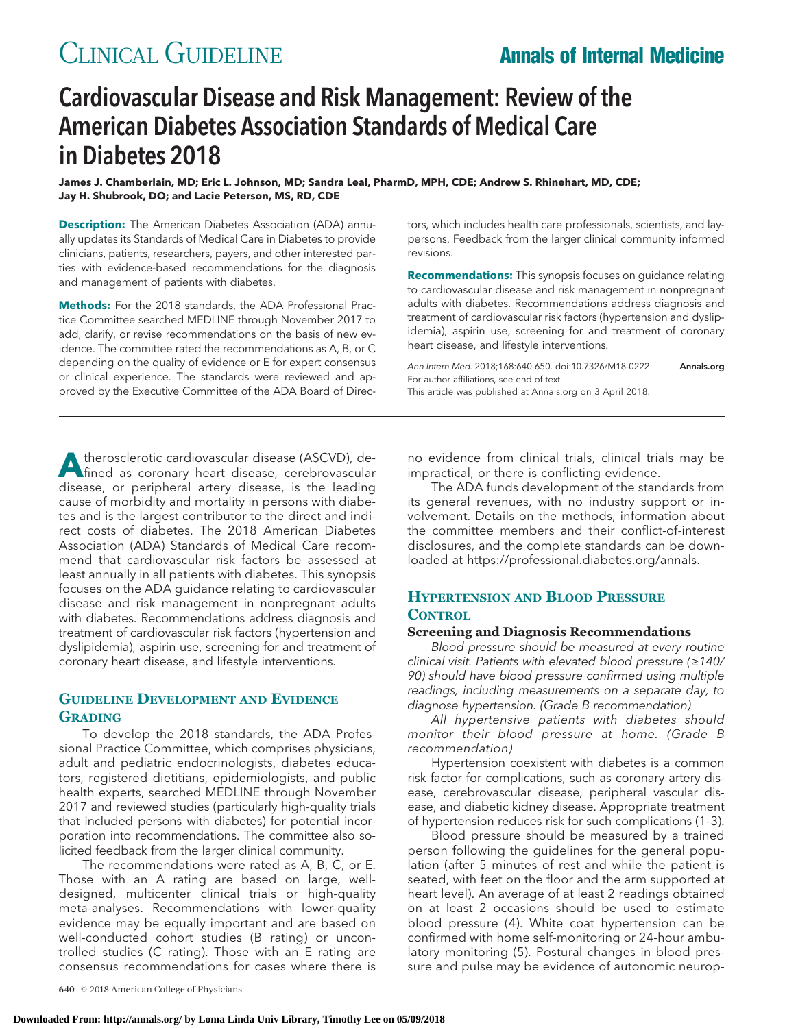# CLINICAL GUIDELINE **Annals of Internal Medicine**

# Cardiovascular Disease and Risk Management: Review of the American Diabetes Association Standards of Medical Care in Diabetes 2018

**James J. Chamberlain, MD; Eric L. Johnson, MD; Sandra Leal, PharmD, MPH, CDE; Andrew S. Rhinehart, MD, CDE; Jay H. Shubrook, DO; and Lacie Peterson, MS, RD, CDE**

**Description:** The American Diabetes Association (ADA) annually updates its Standards of Medical Care in Diabetes to provide clinicians, patients, researchers, payers, and other interested parties with evidence-based recommendations for the diagnosis and management of patients with diabetes.

**Methods:** For the 2018 standards, the ADA Professional Practice Committee searched MEDLINE through November 2017 to add, clarify, or revise recommendations on the basis of new evidence. The committee rated the recommendations as A, B, or C depending on the quality of evidence or E for expert consensus or clinical experience. The standards were reviewed and approved by the Executive Committee of the ADA Board of Directors, which includes health care professionals, scientists, and laypersons. Feedback from the larger clinical community informed revisions.

**Recommendations:** This synopsis focuses on guidance relating to cardiovascular disease and risk management in nonpregnant adults with diabetes. Recommendations address diagnosis and treatment of cardiovascular risk factors (hypertension and dyslipidemia), aspirin use, screening for and treatment of coronary heart disease, and lifestyle interventions.

Ann Intern Med. 2018;168:640-650. doi:10.7326/M18-0222 **[Annals.org](http://www.annals.org)** For author affiliations, see end of text. This article was published at [Annals.org](http://www.annals.org) on 3 April 2018.

**A**therosclerotic cardiovascular disease (ASCVD), de-<br>fined as coronary heart disease, cerebrovascular disease, or peripheral artery disease, is the leading cause of morbidity and mortality in persons with diabetes and is the largest contributor to the direct and indirect costs of diabetes. The 2018 American Diabetes Association (ADA) Standards of Medical Care recommend that cardiovascular risk factors be assessed at least annually in all patients with diabetes. This synopsis focuses on the ADA guidance relating to cardiovascular disease and risk management in nonpregnant adults with diabetes. Recommendations address diagnosis and treatment of cardiovascular risk factors (hypertension and dyslipidemia), aspirin use, screening for and treatment of coronary heart disease, and lifestyle interventions.

# **GUIDELINE DEVELOPMENT AND EVIDENCE GRADING**

To develop the 2018 standards, the ADA Professional Practice Committee, which comprises physicians, adult and pediatric endocrinologists, diabetes educators, registered dietitians, epidemiologists, and public health experts, searched MEDLINE through November 2017 and reviewed studies (particularly high-quality trials that included persons with diabetes) for potential incorporation into recommendations. The committee also solicited feedback from the larger clinical community.

The recommendations were rated as A, B, C, or E. Those with an A rating are based on large, welldesigned, multicenter clinical trials or high-quality meta-analyses. Recommendations with lower-quality evidence may be equally important and are based on well-conducted cohort studies (B rating) or uncontrolled studies (C rating). Those with an E rating are consensus recommendations for cases where there is

no evidence from clinical trials, clinical trials may be impractical, or there is conflicting evidence.

The ADA funds development of the standards from its general revenues, with no industry support or involvement. Details on the methods, information about the committee members and their conflict-of-interest disclosures, and the complete standards can be downloaded at [https://professional.diabetes.org/annals.](https://professional.diabetes.org/annals)

# **HYPERTENSION AND BLOOD PRESSURE CONTROL**

#### **Screening and Diagnosis Recommendations**

Blood pressure should be measured at every routine clinical visit. Patients with elevated blood pressure (≥140/ 90) should have blood pressure confirmed using multiple readings, including measurements on a separate day, to diagnose hypertension. (Grade B recommendation)

All hypertensive patients with diabetes should monitor their blood pressure at home. (Grade B recommendation)

Hypertension coexistent with diabetes is a common risk factor for complications, such as coronary artery disease, cerebrovascular disease, peripheral vascular disease, and diabetic kidney disease. Appropriate treatment of hypertension reduces risk for such complications (1–3).

Blood pressure should be measured by a trained person following the guidelines for the general population (after 5 minutes of rest and while the patient is seated, with feet on the floor and the arm supported at heart level). An average of at least 2 readings obtained on at least 2 occasions should be used to estimate blood pressure (4). White coat hypertension can be confirmed with home self-monitoring or 24-hour ambulatory monitoring (5). Postural changes in blood pressure and pulse may be evidence of autonomic neurop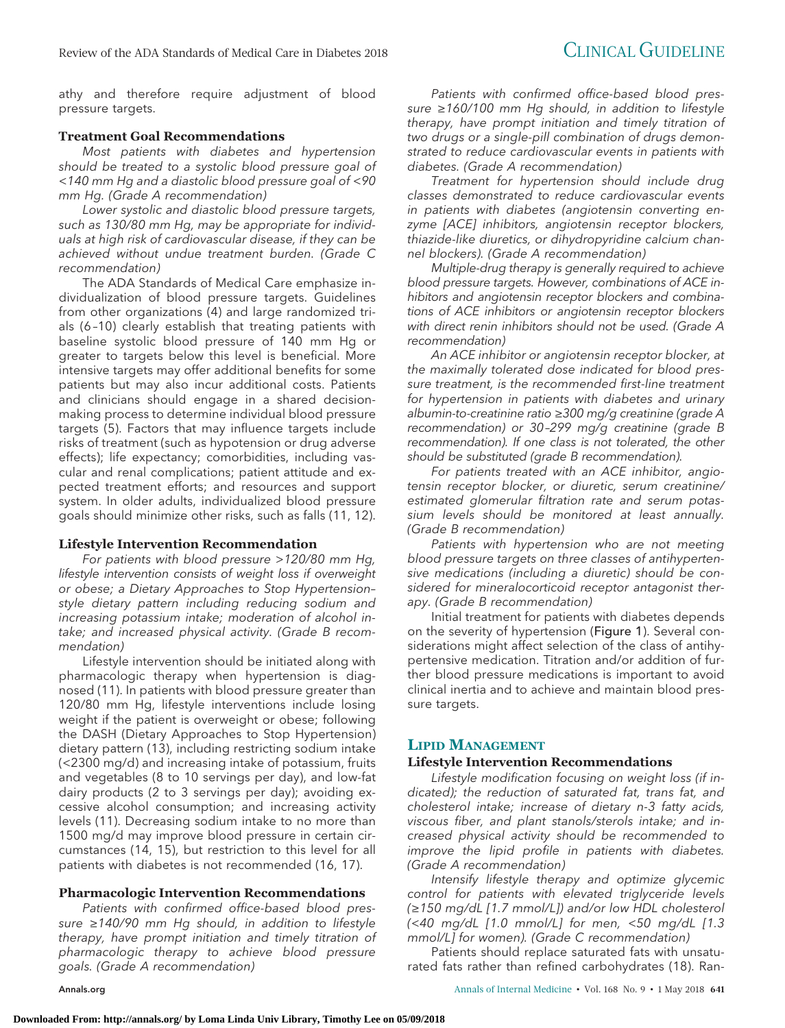athy and therefore require adjustment of blood pressure targets.

#### **Treatment Goal Recommendations**

Most patients with diabetes and hypertension should be treated to a systolic blood pressure goal of <140 mm Hg and a diastolic blood pressure goal of <90 mm Hg. (Grade A recommendation)

Lower systolic and diastolic blood pressure targets, such as 130/80 mm Hg, may be appropriate for individuals at high risk of cardiovascular disease, if they can be achieved without undue treatment burden. (Grade C recommendation)

The ADA Standards of Medical Care emphasize individualization of blood pressure targets. Guidelines from other organizations (4) and large randomized trials (6 –10) clearly establish that treating patients with baseline systolic blood pressure of 140 mm Hg or greater to targets below this level is beneficial. More intensive targets may offer additional benefits for some patients but may also incur additional costs. Patients and clinicians should engage in a shared decisionmaking process to determine individual blood pressure targets (5). Factors that may influence targets include risks of treatment (such as hypotension or drug adverse effects); life expectancy; comorbidities, including vascular and renal complications; patient attitude and expected treatment efforts; and resources and support system. In older adults, individualized blood pressure goals should minimize other risks, such as falls (11, 12).

### **Lifestyle Intervention Recommendation**

For patients with blood pressure >120/80 mm Hg, lifestyle intervention consists of weight loss if overweight or obese; a Dietary Approaches to Stop Hypertension– style dietary pattern including reducing sodium and increasing potassium intake; moderation of alcohol intake; and increased physical activity. (Grade B recommendation)

Lifestyle intervention should be initiated along with pharmacologic therapy when hypertension is diagnosed (11). In patients with blood pressure greater than 120/80 mm Hg, lifestyle interventions include losing weight if the patient is overweight or obese; following the DASH (Dietary Approaches to Stop Hypertension) dietary pattern (13), including restricting sodium intake (<2300 mg/d) and increasing intake of potassium, fruits and vegetables (8 to 10 servings per day), and low-fat dairy products (2 to 3 servings per day); avoiding excessive alcohol consumption; and increasing activity levels (11). Decreasing sodium intake to no more than 1500 mg/d may improve blood pressure in certain circumstances (14, 15), but restriction to this level for all patients with diabetes is not recommended (16, 17).

### **Pharmacologic Intervention Recommendations**

Patients with confirmed office-based blood pressure ≥140/90 mm Hg should, in addition to lifestyle therapy, have prompt initiation and timely titration of pharmacologic therapy to achieve blood pressure goals. (Grade A recommendation)

Patients with confirmed office-based blood pressure ≥160/100 mm Hg should, in addition to lifestyle therapy, have prompt initiation and timely titration of two drugs or a single-pill combination of drugs demonstrated to reduce cardiovascular events in patients with diabetes. (Grade A recommendation)

Treatment for hypertension should include drug classes demonstrated to reduce cardiovascular events in patients with diabetes (angiotensin converting enzyme [ACE] inhibitors, angiotensin receptor blockers, thiazide-like diuretics, or dihydropyridine calcium channel blockers). (Grade A recommendation)

Multiple-drug therapy is generally required to achieve blood pressure targets. However, combinations of ACE inhibitors and angiotensin receptor blockers and combinations of ACE inhibitors or angiotensin receptor blockers with direct renin inhibitors should not be used. (Grade A recommendation)

An ACE inhibitor or angiotensin receptor blocker, at the maximally tolerated dose indicated for blood pressure treatment, is the recommended first-line treatment for hypertension in patients with diabetes and urinary albumin-to-creatinine ratio ≥300 mg/g creatinine (grade A recommendation) or 30 –299 mg/g creatinine (grade B recommendation). If one class is not tolerated, the other should be substituted (grade B recommendation).

For patients treated with an ACE inhibitor, angiotensin receptor blocker, or diuretic, serum creatinine/ estimated glomerular filtration rate and serum potassium levels should be monitored at least annually. (Grade B recommendation)

Patients with hypertension who are not meeting blood pressure targets on three classes of antihypertensive medications (including a diuretic) should be considered for mineralocorticoid receptor antagonist therapy. (Grade B recommendation)

Initial treatment for patients with diabetes depends on the severity of hypertension (Figure 1). Several considerations might affect selection of the class of antihypertensive medication. Titration and/or addition of further blood pressure medications is important to avoid clinical inertia and to achieve and maintain blood pressure targets.

## **LIPID MANAGEMENT**

#### **Lifestyle Intervention Recommendations**

Lifestyle modification focusing on weight loss (if indicated); the reduction of saturated fat, trans fat, and cholesterol intake; increase of dietary n-3 fatty acids, viscous fiber, and plant stanols/sterols intake; and increased physical activity should be recommended to improve the lipid profile in patients with diabetes. (Grade A recommendation)

Intensify lifestyle therapy and optimize glycemic control for patients with elevated triglyceride levels (≥150 mg/dL [1.7 mmol/L]) and/or low HDL cholesterol (<40 mg/dL [1.0 mmol/L] for men, <50 mg/dL [1.3 mmol/L] for women). (Grade C recommendation)

Patients should replace saturated fats with unsaturated fats rather than refined carbohydrates (18). Ran-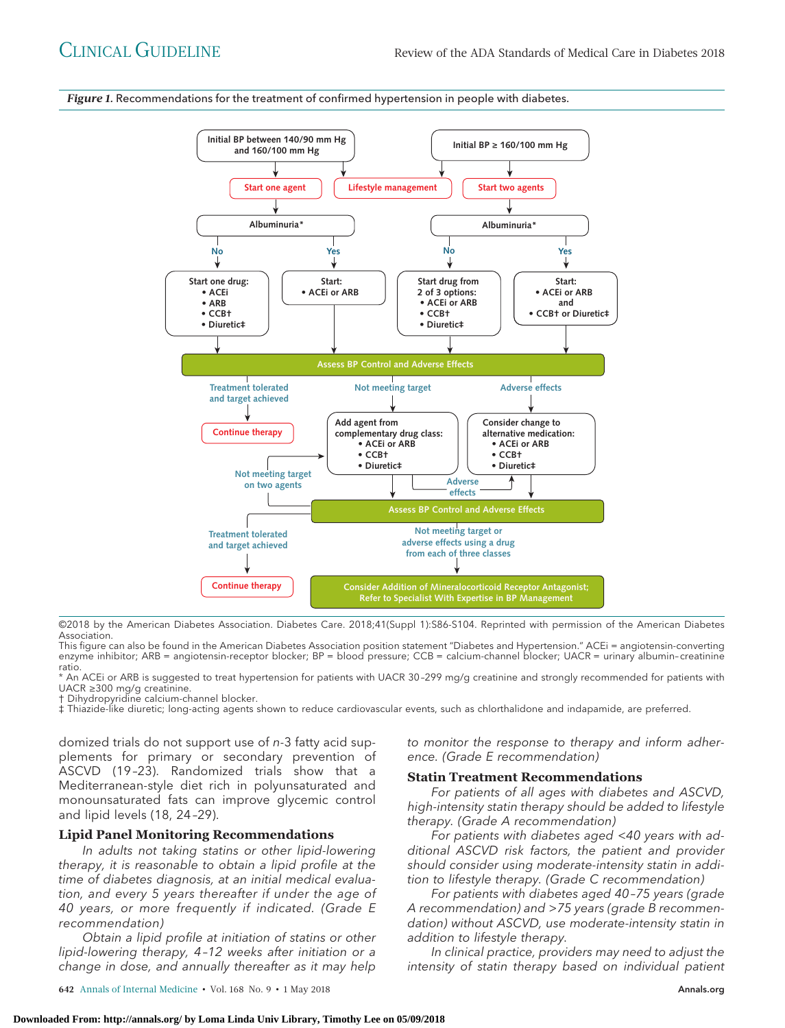#### *Figure 1.* Recommendations for the treatment of confirmed hypertension in people with diabetes.



©2018 by the American Diabetes Association. Diabetes Care. 2018;41(Suppl 1):S86-S104. Reprinted with permission of the American Diabetes Association.

This figure can also be found in the American Diabetes Association position statement "Diabetes and Hypertension." ACEi = angiotensin-converting enzyme inhibitor; ARB = angiotensin-receptor blocker; BP = blood pressure; CCB = calcium-channel blocker; UACR = urinary albumin– creatinine ratio.

An ACEi or ARB is suggested to treat hypertension for patients with UACR 30-299 mg/g creatinine and strongly recommended for patients with UACR ≥300 mg/g creatinine.

† Dihydropyridine calcium-channel blocker.

‡ Thiazide-like diuretic; long-acting agents shown to reduce cardiovascular events, such as chlorthalidone and indapamide, are preferred.

domized trials do not support use of n-3 fatty acid supplements for primary or secondary prevention of ASCVD (19 –23). Randomized trials show that a Mediterranean-style diet rich in polyunsaturated and monounsaturated fats can improve glycemic control and lipid levels (18, 24 –29).

#### **Lipid Panel Monitoring Recommendations**

In adults not taking statins or other lipid-lowering therapy, it is reasonable to obtain a lipid profile at the time of diabetes diagnosis, at an initial medical evaluation, and every 5 years thereafter if under the age of 40 years, or more frequently if indicated. (Grade E recommendation)

Obtain a lipid profile at initiation of statins or other lipid-lowering therapy, 4 –12 weeks after initiation or a change in dose, and annually thereafter as it may help

to monitor the response to therapy and inform adherence. (Grade E recommendation)

#### **Statin Treatment Recommendations**

For patients of all ages with diabetes and ASCVD, high-intensity statin therapy should be added to lifestyle therapy. (Grade A recommendation)

For patients with diabetes aged <40 years with additional ASCVD risk factors, the patient and provider should consider using moderate-intensity statin in addition to lifestyle therapy. (Grade C recommendation)

For patients with diabetes aged 40 –75 years (grade A recommendation) and >75 years (grade B recommendation) without ASCVD, use moderate-intensity statin in addition to lifestyle therapy.

In clinical practice, providers may need to adjust the intensity of statin therapy based on individual patient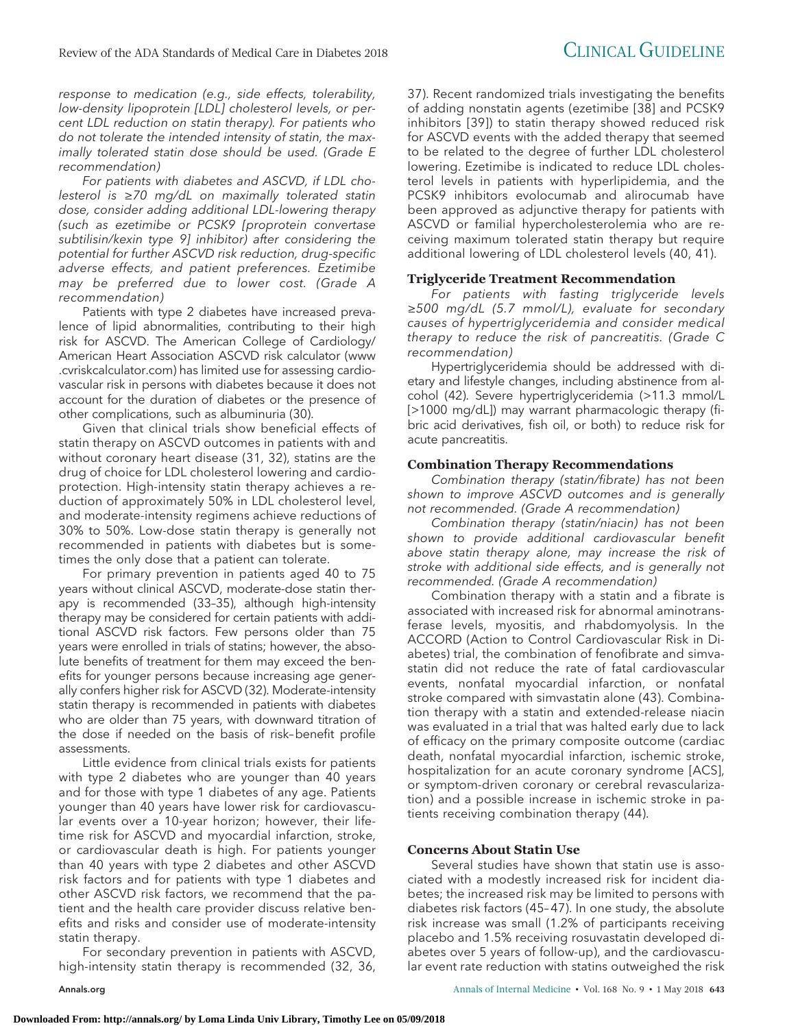response to medication (e.g., side effects, tolerability, low-density lipoprotein [LDL] cholesterol levels, or percent LDL reduction on statin therapy). For patients who do not tolerate the intended intensity of statin, the maximally tolerated statin dose should be used. (Grade E recommendation)

For patients with diabetes and ASCVD, if LDL cholesterol is ≥70 mg/dL on maximally tolerated statin dose, consider adding additional LDL-lowering therapy (such as ezetimibe or PCSK9 [proprotein convertase subtilisin/kexin type 9] inhibitor) after considering the potential for further ASCVD risk reduction, drug-specific adverse effects, and patient preferences. Ezetimibe may be preferred due to lower cost. (Grade A recommendation)

Patients with type 2 diabetes have increased prevalence of lipid abnormalities, contributing to their high risk for ASCVD. The American College of Cardiology/ American Heart Association ASCVD risk calculator [\(www](http://www.cvriskcalculator.com) [.cvriskcalculator.com\)](http://www.cvriskcalculator.com) has limited use for assessing cardiovascular risk in persons with diabetes because it does not account for the duration of diabetes or the presence of other complications, such as albuminuria (30).

Given that clinical trials show beneficial effects of statin therapy on ASCVD outcomes in patients with and without coronary heart disease (31, 32), statins are the drug of choice for LDL cholesterol lowering and cardioprotection. High-intensity statin therapy achieves a reduction of approximately 50% in LDL cholesterol level, and moderate-intensity regimens achieve reductions of 30% to 50%. Low-dose statin therapy is generally not recommended in patients with diabetes but is sometimes the only dose that a patient can tolerate.

For primary prevention in patients aged 40 to 75 years without clinical ASCVD, moderate-dose statin therapy is recommended (33–35), although high-intensity therapy may be considered for certain patients with additional ASCVD risk factors. Few persons older than 75 years were enrolled in trials of statins; however, the absolute benefits of treatment for them may exceed the benefits for younger persons because increasing age generally confers higher risk for ASCVD (32). Moderate-intensity statin therapy is recommended in patients with diabetes who are older than 75 years, with downward titration of the dose if needed on the basis of risk–benefit profile assessments.

Little evidence from clinical trials exists for patients with type 2 diabetes who are younger than 40 years and for those with type 1 diabetes of any age. Patients younger than 40 years have lower risk for cardiovascular events over a 10-year horizon; however, their lifetime risk for ASCVD and myocardial infarction, stroke, or cardiovascular death is high. For patients younger than 40 years with type 2 diabetes and other ASCVD risk factors and for patients with type 1 diabetes and other ASCVD risk factors, we recommend that the patient and the health care provider discuss relative benefits and risks and consider use of moderate-intensity statin therapy.

For secondary prevention in patients with ASCVD, high-intensity statin therapy is recommended (32, 36, 37). Recent randomized trials investigating the benefits of adding nonstatin agents (ezetimibe [38] and PCSK9 inhibitors [39]) to statin therapy showed reduced risk for ASCVD events with the added therapy that seemed to be related to the degree of further LDL cholesterol lowering. Ezetimibe is indicated to reduce LDL cholesterol levels in patients with hyperlipidemia, and the PCSK9 inhibitors evolocumab and alirocumab have been approved as adjunctive therapy for patients with ASCVD or familial hypercholesterolemia who are receiving maximum tolerated statin therapy but require additional lowering of LDL cholesterol levels (40, 41).

#### **Triglyceride Treatment Recommendation**

For patients with fasting triglyceride levels ≥500 mg/dL (5.7 mmol/L), evaluate for secondary causes of hypertriglyceridemia and consider medical therapy to reduce the risk of pancreatitis. (Grade C recommendation)

Hypertriglyceridemia should be addressed with dietary and lifestyle changes, including abstinence from alcohol (42). Severe hypertriglyceridemia (>11.3 mmol/L [>1000 mg/dL]) may warrant pharmacologic therapy (fibric acid derivatives, fish oil, or both) to reduce risk for acute pancreatitis.

#### **Combination Therapy Recommendations**

Combination therapy (statin/fibrate) has not been shown to improve ASCVD outcomes and is generally not recommended. (Grade A recommendation)

Combination therapy (statin/niacin) has not been shown to provide additional cardiovascular benefit above statin therapy alone, may increase the risk of stroke with additional side effects, and is generally not recommended. (Grade A recommendation)

Combination therapy with a statin and a fibrate is associated with increased risk for abnormal aminotransferase levels, myositis, and rhabdomyolysis. In the ACCORD (Action to Control Cardiovascular Risk in Diabetes) trial, the combination of fenofibrate and simvastatin did not reduce the rate of fatal cardiovascular events, nonfatal myocardial infarction, or nonfatal stroke compared with simvastatin alone (43). Combination therapy with a statin and extended-release niacin was evaluated in a trial that was halted early due to lack of efficacy on the primary composite outcome (cardiac death, nonfatal myocardial infarction, ischemic stroke, hospitalization for an acute coronary syndrome [ACS], or symptom-driven coronary or cerebral revascularization) and a possible increase in ischemic stroke in patients receiving combination therapy (44).

#### **Concerns About Statin Use**

Several studies have shown that statin use is associated with a modestly increased risk for incident diabetes; the increased risk may be limited to persons with diabetes risk factors (45– 47). In one study, the absolute risk increase was small (1.2% of participants receiving placebo and 1.5% receiving rosuvastatin developed diabetes over 5 years of follow-up), and the cardiovascular event rate reduction with statins outweighed the risk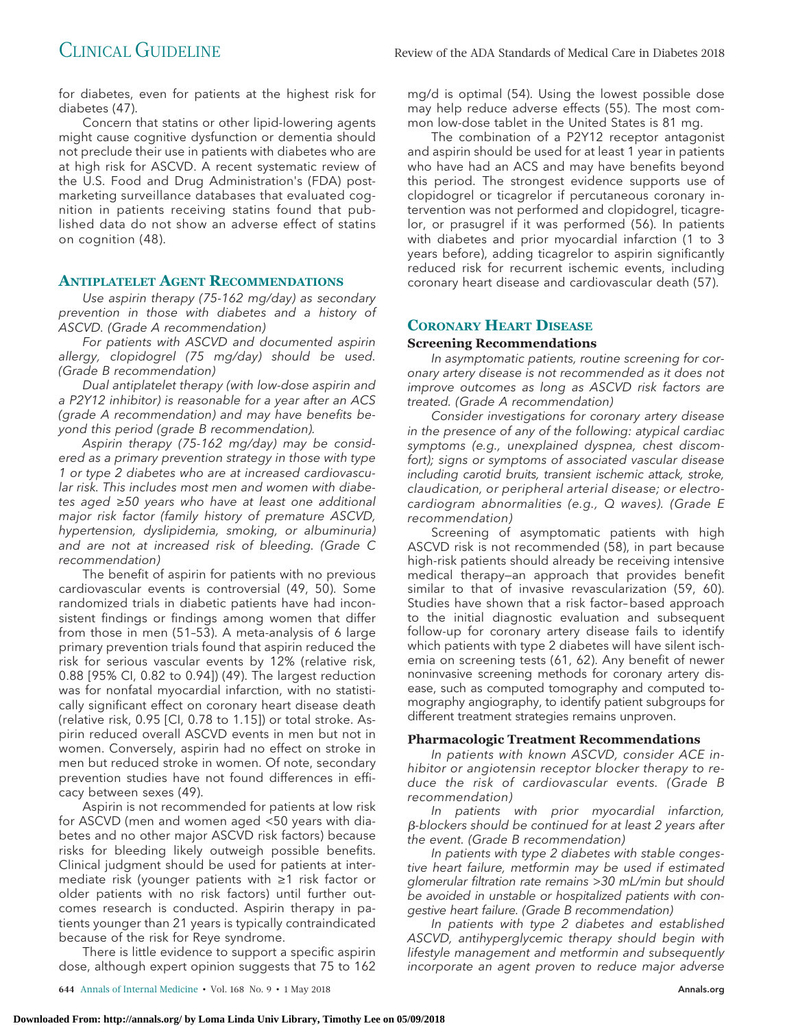for diabetes, even for patients at the highest risk for diabetes (47).

Concern that statins or other lipid-lowering agents might cause cognitive dysfunction or dementia should not preclude their use in patients with diabetes who are at high risk for ASCVD. A recent systematic review of the U.S. Food and Drug Administration's (FDA) postmarketing surveillance databases that evaluated cognition in patients receiving statins found that published data do not show an adverse effect of statins on cognition (48).

### **ANTIPLATELET AGENT RECOMMENDATIONS**

Use aspirin therapy (75-162 mg/day) as secondary prevention in those with diabetes and a history of ASCVD. (Grade A recommendation)

For patients with ASCVD and documented aspirin allergy, clopidogrel (75 mg/day) should be used. (Grade B recommendation)

Dual antiplatelet therapy (with low-dose aspirin and a P2Y12 inhibitor) is reasonable for a year after an ACS (grade A recommendation) and may have benefits beyond this period (grade B recommendation).

Aspirin therapy (75-162 mg/day) may be considered as a primary prevention strategy in those with type 1 or type 2 diabetes who are at increased cardiovascular risk. This includes most men and women with diabetes aged ≥50 years who have at least one additional major risk factor (family history of premature ASCVD, hypertension, dyslipidemia, smoking, or albuminuria) and are not at increased risk of bleeding. (Grade C recommendation)

The benefit of aspirin for patients with no previous cardiovascular events is controversial (49, 50). Some randomized trials in diabetic patients have had inconsistent findings or findings among women that differ from those in men (51–53). A meta-analysis of 6 large primary prevention trials found that aspirin reduced the risk for serious vascular events by 12% (relative risk, 0.88 [95% CI, 0.82 to 0.94]) (49). The largest reduction was for nonfatal myocardial infarction, with no statistically significant effect on coronary heart disease death (relative risk, 0.95 [CI, 0.78 to 1.15]) or total stroke. Aspirin reduced overall ASCVD events in men but not in women. Conversely, aspirin had no effect on stroke in men but reduced stroke in women. Of note, secondary prevention studies have not found differences in efficacy between sexes (49).

Aspirin is not recommended for patients at low risk for ASCVD (men and women aged <50 years with diabetes and no other major ASCVD risk factors) because risks for bleeding likely outweigh possible benefits. Clinical judgment should be used for patients at intermediate risk (younger patients with ≥1 risk factor or older patients with no risk factors) until further outcomes research is conducted. Aspirin therapy in patients younger than 21 years is typically contraindicated because of the risk for Reye syndrome.

There is little evidence to support a specific aspirin dose, although expert opinion suggests that 75 to 162

mg/d is optimal (54). Using the lowest possible dose may help reduce adverse effects (55). The most common low-dose tablet in the United States is 81 mg.

The combination of a P2Y12 receptor antagonist and aspirin should be used for at least 1 year in patients who have had an ACS and may have benefits beyond this period. The strongest evidence supports use of clopidogrel or ticagrelor if percutaneous coronary intervention was not performed and clopidogrel, ticagrelor, or prasugrel if it was performed (56). In patients with diabetes and prior myocardial infarction (1 to 3 years before), adding ticagrelor to aspirin significantly reduced risk for recurrent ischemic events, including coronary heart disease and cardiovascular death (57).

## **CORONARY HEART DISEASE**

#### **Screening Recommendations**

In asymptomatic patients, routine screening for coronary artery disease is not recommended as it does not improve outcomes as long as ASCVD risk factors are treated. (Grade A recommendation)

Consider investigations for coronary artery disease in the presence of any of the following: atypical cardiac symptoms (e.g., unexplained dyspnea, chest discomfort); signs or symptoms of associated vascular disease including carotid bruits, transient ischemic attack, stroke, claudication, or peripheral arterial disease; or electrocardiogram abnormalities (e.g., Q waves). (Grade E recommendation)

Screening of asymptomatic patients with high ASCVD risk is not recommended (58), in part because high-risk patients should already be receiving intensive medical therapy—an approach that provides benefit similar to that of invasive revascularization (59, 60). Studies have shown that a risk factor–based approach to the initial diagnostic evaluation and subsequent follow-up for coronary artery disease fails to identify which patients with type 2 diabetes will have silent ischemia on screening tests (61, 62). Any benefit of newer noninvasive screening methods for coronary artery disease, such as computed tomography and computed tomography angiography, to identify patient subgroups for different treatment strategies remains unproven.

### **Pharmacologic Treatment Recommendations**

In patients with known ASCVD, consider ACE inhibitor or angiotensin receptor blocker therapy to reduce the risk of cardiovascular events. (Grade B recommendation)

In patients with prior myocardial infarction, --blockers should be continued for at least 2 years after the event. (Grade B recommendation)

In patients with type 2 diabetes with stable congestive heart failure, metformin may be used if estimated glomerular filtration rate remains >30 mL/min but should be avoided in unstable or hospitalized patients with congestive heart failure. (Grade B recommendation)

In patients with type 2 diabetes and established ASCVD, antihyperglycemic therapy should begin with lifestyle management and metformin and subsequently incorporate an agent proven to reduce major adverse

**644** Annals of Internal Medicine • Vol. 168 No. 9 • 1 May 2018 [Annals.org](http://www.annals.org)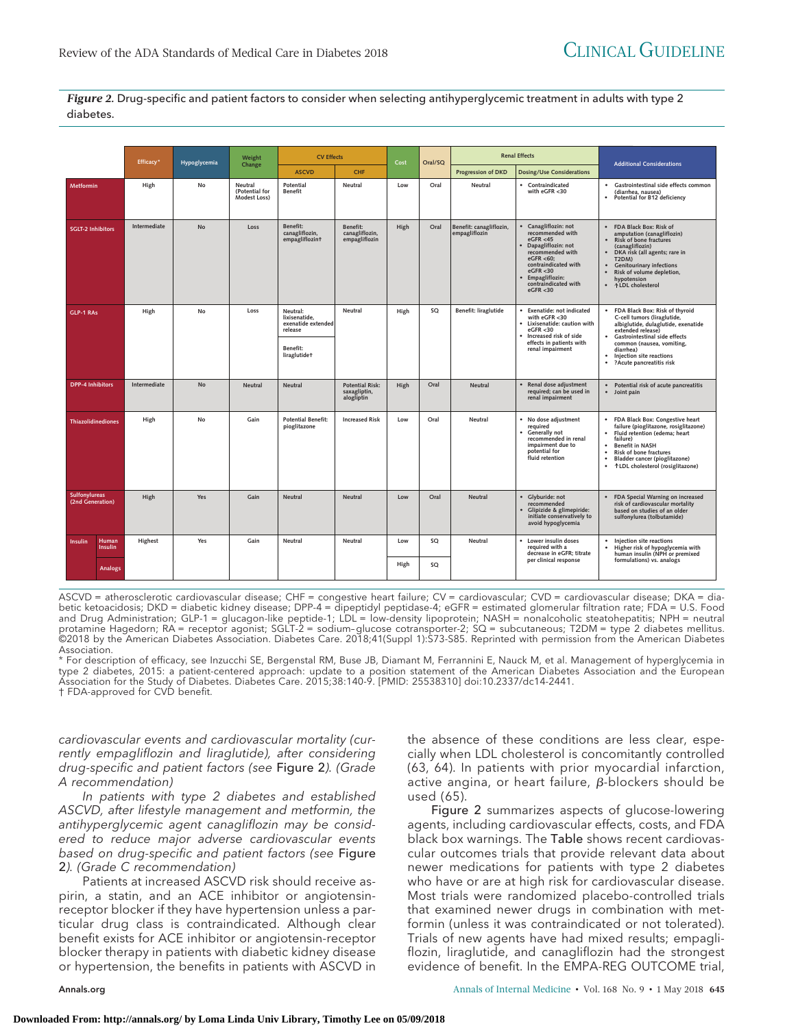*Figure 2.* Drug-specific and patient factors to consider when selecting antihyperglycemic treatment in adults with type 2 diabetes.

|                                          |                  | Efficacy*    |              | Weight                                    | <b>CV Effects</b>                                                                                  |                                                      | Cost | Oral/SQ | <b>Renal Effects</b>                     |                                                                                                                                                                                                            |                                                                                                                                                                                                                                                                                       |
|------------------------------------------|------------------|--------------|--------------|-------------------------------------------|----------------------------------------------------------------------------------------------------|------------------------------------------------------|------|---------|------------------------------------------|------------------------------------------------------------------------------------------------------------------------------------------------------------------------------------------------------------|---------------------------------------------------------------------------------------------------------------------------------------------------------------------------------------------------------------------------------------------------------------------------------------|
|                                          |                  |              | Hypoglycemia | Change                                    | <b>ASCVD</b>                                                                                       | CHF                                                  |      |         | <b>Progression of DKD</b>                | <b>Dosing/Use Considerations</b>                                                                                                                                                                           | <b>Additional Considerations</b>                                                                                                                                                                                                                                                      |
| Metformin                                |                  | High         | No           | Neutral<br>(Potential for<br>Modest Loss) | Potential<br><b>Benefit</b>                                                                        | Neutral                                              | Low  | Oral    | Neutral                                  | • Contraindicated<br>with eGFR <30                                                                                                                                                                         | • Gastrointestinal side effects common<br>(diarrhea, nausea)<br>Potential for B12 deficiency<br>$\bullet$                                                                                                                                                                             |
| <b>SGLT-2 Inhibitors</b>                 |                  | Intermediate | <b>No</b>    | Loss                                      | Benefit:<br>canagliflozin,<br>empagliflozint                                                       | Benefit:<br>canagliflozin,<br>empagliflozin          | High | Oral    | Benefit: canagliflozin,<br>empagliflozin | Canagliflozin: not<br>recommended with<br>eGFR < 45<br>Dapagliflozin: not<br>recommended with<br>$eGFR < 60$ :<br>contraindicated with<br>eGFR < 30<br>Empagliflozin:<br>contraindicated with<br>eGFR < 30 | • FDA Black Box: Risk of<br>amputation (canagliflozin)<br>• Risk of bone fractures<br>(canagliflozin)<br>DKA risk (all agents; rare in<br>$\bullet$<br>T2DM)<br><b>Genitourinary infections</b><br>Risk of volume depletion,<br>$\bullet$<br>hypotension<br>• ↑ LDL cholesterol       |
| High<br>GLP-1 RAs                        |                  |              | No           | Loss                                      | Neutral:<br>lixisenatide.<br>exenatide extended<br>release<br>Benefit:<br>liraglutide <sup>+</sup> | Neutral                                              | High | SQ      | Benefit: liraglutide                     | Exenatide: not indicated<br>with eGFR <30<br>Lixisenatide: caution with<br>eGFR < 30<br>Increased risk of side<br>effects in patients with<br>renal impairment                                             | • FDA Black Box: Risk of thyroid<br>C-cell tumors (liraglutide,<br>albiglutide, dulaglutide, exenatide<br>extended release)<br>Gastrointestinal side effects<br>۰<br>common (nausea, vomiting,<br>diarrhea)<br>Injection site reactions<br>۰<br>• ?Acute pancreatitis risk            |
| <b>DPP-4 Inhibitors</b>                  |                  | Intermediate | <b>No</b>    | Neutral                                   | Neutral                                                                                            | <b>Potential Risk:</b><br>saxagliptin,<br>alogliptin | High | Oral    | Neutral                                  | Renal dose adjustment<br>required; can be used in<br>renal impairment                                                                                                                                      | • Potential risk of acute pancreatitis<br>• Joint pain                                                                                                                                                                                                                                |
| <b>Thiazolidinediones</b>                |                  | High         | No           | Gain                                      | <b>Potential Benefit:</b><br>pioglitazone                                                          | <b>Increased Risk</b>                                | Low  | Oral    | Neutral                                  | • No dose adiustment<br>required<br>• Generally not<br>recommended in renal<br>impairment due to<br>potential for<br>fluid retention                                                                       | • FDA Black Box: Congestive heart<br>failure (pioglitazone, rosiglitazone)<br>Fluid retention (edema: heart<br>$\bullet$<br>failure)<br><b>Benefit in NASH</b><br>٠<br><b>Risk of bone fractures</b><br>٠<br>Bladder cancer (pioglitazone)<br>٠<br>• ↑LDL cholesterol (rosiglitazone) |
| <b>Sulfonylureas</b><br>(2nd Generation) |                  | High         | Yes          | Gain                                      | Neutral                                                                                            | Neutral                                              | Low  | Oral    | <b>Neutral</b>                           | • Glyburide: not<br>recommended<br>Glipizide & glimepiride:<br>initiate conservatively to<br>avoid hypoglycemia                                                                                            | • FDA Special Warning on increased<br>risk of cardiovascular mortality<br>based on studies of an older<br>sulfonylurea (tolbutamide)                                                                                                                                                  |
| <b>Insulin</b>                           | Human<br>Insulin | Highest      | Yes          | Gain                                      | Neutral                                                                                            | Neutral                                              | Low  | SQ      | Neutral                                  | Lower insulin doses<br>required with a<br>decrease in eGFR; titrate                                                                                                                                        | Injection site reactions<br>Higher risk of hypoglycemia with<br>٠<br>human insulin (NPH or premixed<br>formulations) vs. analogs                                                                                                                                                      |
|                                          | <b>Analogs</b>   |              |              |                                           |                                                                                                    |                                                      | High | SQ      |                                          | per clinical response                                                                                                                                                                                      |                                                                                                                                                                                                                                                                                       |

ASCVD = atherosclerotic cardiovascular disease; CHF = congestive heart failure; CV = cardiovascular; CVD = cardiovascular disease; DKA = diabetic ketoacidosis; DKD = diabetic kidney disease; DPP-4 = dipeptidyl peptidase-4; eGFR = estimated glomerular filtration rate; FDA = U.S. Food and Drug Administration; GLP-1 = glucagon-like peptide-1; LDL = low-density lipoprotein; NASH = nonalcoholic steatohepatitis; NPH = neutral protamine Hagedorn; RA = receptor agonist; SGLT-2 = sodium–glucose cotransporter-2; SQ = subcutaneous; T2DM = type 2 diabetes mellitus. ©2018 by the American Diabetes Association. Diabetes Care. 2018;41(Suppl 1):S73-S85. Reprinted with permission from the American Diabetes Association.

\* For description of efficacy, see Inzucchi SE, Bergenstal RM, Buse JB, Diamant M, Ferrannini E, Nauck M, et al. Management of hyperglycemia in type 2 diabetes, 2015: a patient-centered approach: update to a position statement of the American Diabetes Association and the European Association for the Study of Diabetes. Diabetes Care. 2015;38:140-9. [PMID: 25538310] doi:10.2337/dc14-2441. † FDA-approved for CVD benefit.

cardiovascular events and cardiovascular mortality (currently empagliflozin and liraglutide), after considering drug-specific and patient factors (see Figure 2). (Grade A recommendation)

In patients with type 2 diabetes and established ASCVD, after lifestyle management and metformin, the antihyperglycemic agent canagliflozin may be considered to reduce major adverse cardiovascular events based on drug-specific and patient factors (see Figure 2). (Grade C recommendation)

Patients at increased ASCVD risk should receive aspirin, a statin, and an ACE inhibitor or angiotensinreceptor blocker if they have hypertension unless a particular drug class is contraindicated. Although clear benefit exists for ACE inhibitor or angiotensin-receptor blocker therapy in patients with diabetic kidney disease or hypertension, the benefits in patients with ASCVD in

the absence of these conditions are less clear, especially when LDL cholesterol is concomitantly controlled (63, 64). In patients with prior myocardial infarction, active angina, or heart failure,  $\beta$ -blockers should be used (65).

Figure 2 summarizes aspects of glucose-lowering agents, including cardiovascular effects, costs, and FDA black box warnings. The Table shows recent cardiovascular outcomes trials that provide relevant data about newer medications for patients with type 2 diabetes who have or are at high risk for cardiovascular disease. Most trials were randomized placebo-controlled trials that examined newer drugs in combination with metformin (unless it was contraindicated or not tolerated). Trials of new agents have had mixed results; empagliflozin, liraglutide, and canagliflozin had the strongest evidence of benefit. In the EMPA-REG OUTCOME trial,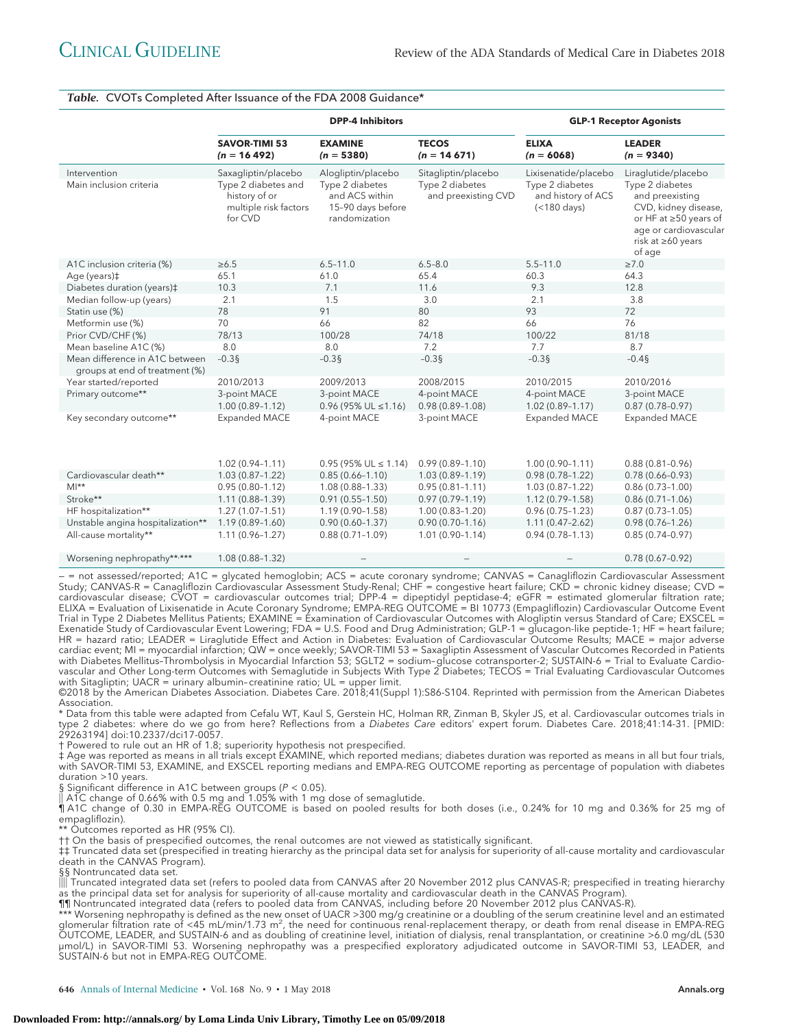#### *Table.* CVOTs Completed After Issuance of the FDA 2008 Guidance\*

|                                                                  | <b>DPP-4 Inhibitors</b>                                                  |                                                                         |                                        | <b>GLP-1 Receptor Agonists</b>                          |                                                                                                                                             |  |
|------------------------------------------------------------------|--------------------------------------------------------------------------|-------------------------------------------------------------------------|----------------------------------------|---------------------------------------------------------|---------------------------------------------------------------------------------------------------------------------------------------------|--|
|                                                                  | <b>SAVOR-TIMI 53</b><br>$(n = 16 492)$                                   | <b>EXAMINE</b><br>$(n = 5380)$                                          | <b>TECOS</b><br>$(n = 14671)$          | <b>ELIXA</b><br>$(n = 6068)$                            | <b>LEADER</b><br>$(n = 9340)$                                                                                                               |  |
| Intervention                                                     | Saxagliptin/placebo                                                      | Alogliptin/placebo                                                      | Sitagliptin/placebo                    | Lixisenatide/placebo                                    | Liraglutide/placebo                                                                                                                         |  |
| Main inclusion criteria                                          | Type 2 diabetes and<br>history of or<br>multiple risk factors<br>for CVD | Type 2 diabetes<br>and ACS within<br>15-90 days before<br>randomization | Type 2 diabetes<br>and preexisting CVD | Type 2 diabetes<br>and history of ACS<br>$(<$ 180 days) | Type 2 diabetes<br>and preexisting<br>CVD, kidney disease,<br>or HF at ≥50 years of<br>age or cardiovascular<br>risk at ≥60 years<br>of age |  |
| A1C inclusion criteria (%)                                       | $\geq 6.5$                                                               | $6.5 - 11.0$                                                            | $6.5 - 8.0$                            | $5.5 - 11.0$                                            | $\geq 7.0$                                                                                                                                  |  |
| Age (years)‡                                                     | 65.1                                                                     | 61.0                                                                    | 65.4                                   | 60.3                                                    | 64.3                                                                                                                                        |  |
| Diabetes duration (years)‡                                       | 10.3                                                                     | 7.1                                                                     | 11.6                                   | 9.3                                                     | 12.8                                                                                                                                        |  |
| Median follow-up (years)                                         | 2.1                                                                      | 1.5                                                                     | 3.0                                    | 2.1                                                     | 3.8                                                                                                                                         |  |
| Statin use (%)                                                   | 78                                                                       | 91                                                                      | 80                                     | 93                                                      | 72                                                                                                                                          |  |
| Metformin use (%)                                                | 70                                                                       | 66                                                                      | 82                                     | 66                                                      | 76                                                                                                                                          |  |
| Prior CVD/CHF (%)                                                | 78/13                                                                    | 100/28                                                                  | 74/18                                  | 100/22                                                  | 81/18                                                                                                                                       |  |
| Mean baseline A1C (%)                                            | 8.0                                                                      | 8.0                                                                     | 7.2                                    | 7.7                                                     | 8.7                                                                                                                                         |  |
| Mean difference in A1C between<br>groups at end of treatment (%) | $-0.3$ §                                                                 | $-0.3$ §                                                                | $-0.3$ §                               | $-0.3$ §                                                | $-0.4$ §                                                                                                                                    |  |
| Year started/reported                                            | 2010/2013                                                                | 2009/2013                                                               | 2008/2015                              | 2010/2015                                               | 2010/2016                                                                                                                                   |  |
| Primary outcome**                                                | 3-point MACE<br>$1.00(0.89 - 1.12)$                                      | 3-point MACE<br>$0.96$ (95% UL $\leq$ 1.16)                             | 4-point MACE<br>$0.98(0.89 - 1.08)$    | 4-point MACE<br>$1.02(0.89 - 1.17)$                     | 3-point MACE<br>$0.87(0.78 - 0.97)$                                                                                                         |  |
| Key secondary outcome**                                          | Expanded MACE                                                            | 4-point MACE                                                            | 3-point MACE                           | Expanded MACE                                           | <b>Expanded MACE</b>                                                                                                                        |  |
|                                                                  | $1.02(0.94 - 1.11)$                                                      | $0.95$ (95% UL $\leq 1.14$ )                                            | $0.99(0.89 - 1.10)$                    | $1.00(0.90 - 1.11)$                                     | $0.88(0.81 - 0.96)$                                                                                                                         |  |
| Cardiovascular death**                                           | $1.03(0.87 - 1.22)$                                                      | $0.85(0.66 - 1.10)$                                                     | $1.03(0.89 - 1.19)$                    | $0.98(0.78 - 1.22)$                                     | $0.78(0.66 - 0.93)$                                                                                                                         |  |
| $M$ <sup>**</sup>                                                | $0.95(0.80 - 1.12)$                                                      | $1.08(0.88 - 1.33)$                                                     | $0.95(0.81 - 1.11)$                    | $1.03(0.87 - 1.22)$                                     | $0.86(0.73 - 1.00)$                                                                                                                         |  |
| Stroke**                                                         | $1.11(0.88-1.39)$                                                        | $0.91(0.55 - 1.50)$                                                     | $0.97(0.79 - 1.19)$                    | $1.12(0.79 - 1.58)$                                     | $0.86(0.71 - 1.06)$                                                                                                                         |  |
| HF hospitalization**                                             | $1.27(1.07-1.51)$                                                        | $1.19(0.90 - 1.58)$                                                     | $1.00(0.83 - 1.20)$                    | $0.96(0.75 - 1.23)$                                     | $0.87(0.73 - 1.05)$                                                                                                                         |  |
| Unstable angina hospitalization**                                | $1.19(0.89 - 1.60)$                                                      | $0.90(0.60 - 1.37)$                                                     | $0.90(0.70 - 1.16)$                    | $1.11(0.47 - 2.62)$                                     | $0.98(0.76 - 1.26)$                                                                                                                         |  |
| All-cause mortality**                                            | $1.11(0.96 - 1.27)$                                                      | $0.88(0.71 - 1.09)$                                                     | $1.01(0.90 - 1.14)$                    | $0.94(0.78 - 1.13)$                                     | $0.85(0.74-0.97)$                                                                                                                           |  |
| Worsening nephropathy******                                      | $1.08(0.88 - 1.32)$                                                      |                                                                         |                                        |                                                         | $0.78(0.67 - 0.92)$                                                                                                                         |  |

— = not assessed/reported; A1C = glycated hemoglobin; ACS = acute coronary syndrome; CANVAS = Canagliflozin Cardiovascular Assessment Study; CANVAS-R = Canagliflozin Cardiovascular Assessment Study-Renal; CHF = congestive heart failure; CKD = chronic kidney disease; CVD = cardiovascular disease; CVOT = cardiovascular outcomes trial; DPP-4 = dipeptidyl peptidase-4; eGFR = estimated glomerular filtration rate; ELIXA = Evaluation of Lixisenatide in Acute Coronary Syndrome; EMPA-REG OUTCOME = BI 10773 (Empagliflozin) Cardiovascular Outcome Event Trial in Type 2 Diabetes Mellitus Patients; EXAMINE = Examination of Cardiovascular Outcomes with Alogliptin versus Standard of Care; EXSCEL = Exenatide Study of Cardiovascular Event Lowering; FDA = U.S. Food and Drug Administration; GLP-1 = glucagon-like peptide-1; HF = heart failure; HR = hazard ratio; LEADER = Liraglutide Effect and Action in Diabetes: Evaluation of Cardiovascular Outcome Results; MACE = major adverse cardiac event; MI = myocardial infarction; QW = once weekly; SAVOR-TIMI 53 = Saxagliptin Assessment of Vascular Outcomes Recorded in Patients with Diabetes Mellitus–Thrombolysis in Myocardial Infarction 53; SGLT2 = sodium–glucose cotransporter-2; SUSTAIN-6 = Trial to Evaluate Cardiovascular and Other Long-term Outcomes with Semaglutide in Subjects With Type 2 Diabetes; TECOS = Trial Evaluating Cardiovascular Outcomes with Sitagliptin; UACR = urinary albumin-creatinine ratio;  $UL = upper$  limit.

©2018 by the American Diabetes Association. Diabetes Care. 2018;41(Suppl 1):S86-S104. Reprinted with permission from the American Diabetes Association.

\* Data from this table were adapted from Cefalu WT, Kaul S, Gerstein HC, Holman RR, Zinman B, Skyler JS, et al. Cardiovascular outcomes trials in type 2 diabetes: where do we go from here? Reflections from a Diabetes Care editors' expert forum. Diabetes Care. 2018;41:14-31. [PMID: 29263194] doi:10.2337/dci17-0057.

† Powered to rule out an HR of 1.8; superiority hypothesis not prespecified.

‡ Age was reported as means in all trials except EXAMINE, which reported medians; diabetes duration was reported as means in all but four trials, with SAVOR-TIMI 53, EXAMINE, and EXSCEL reporting medians and EMPA-REG OUTCOME reporting as percentage of population with diabetes duration >10 years.

§ Significant difference in A1C between groups (P < 0.05). -- A1C change of 0.66% with 0.5 mg and 1.05% with 1 mg dose of semaglutide.

¶ A1C change of 0.30 in EMPA-REG OUTCOME is based on pooled results for both doses (i.e., 0.24% for 10 mg and 0.36% for 25 mg of empagliflozin).

Outcomes reported as HR (95% CI).

†† On the basis of prespecified outcomes, the renal outcomes are not viewed as statistically significant.

‡‡ Truncated data set (prespecified in treating hierarchy as the principal data set for analysis for superiority of all-cause mortality and cardiovascular death in the CANVAS Program).

§§ Nontruncated data set.

---- Truncated integrated data set (refers to pooled data from CANVAS after 20 November 2012 plus CANVAS-R; prespecified in treating hierarchy as the principal data set for analysis for superiority of all-cause mortality and cardiovascular death in the CANVAS Program).

¶¶ Nontruncated integrated data (refers to pooled data from CANVAS, including before 20 November 2012 plus CANVAS-R).

\*\*\* Worsening nephropathy is defined as the new onset of UACR >300 mg/g creatinine or a doubling of the serum creatinine level and an estimated<br>glomerular filtration rate of <45 mL/min/1.73 m<sup>2</sup>, the need for continuous re μmol/L) in SAVOR-TIMI 53. Worsening nephropathy was a prespecified exploratory adjudicated outcome in SAVOR-TIMI 53, LEADER, and SUSTAIN-6 but not in EMPA-REG OUTCOME.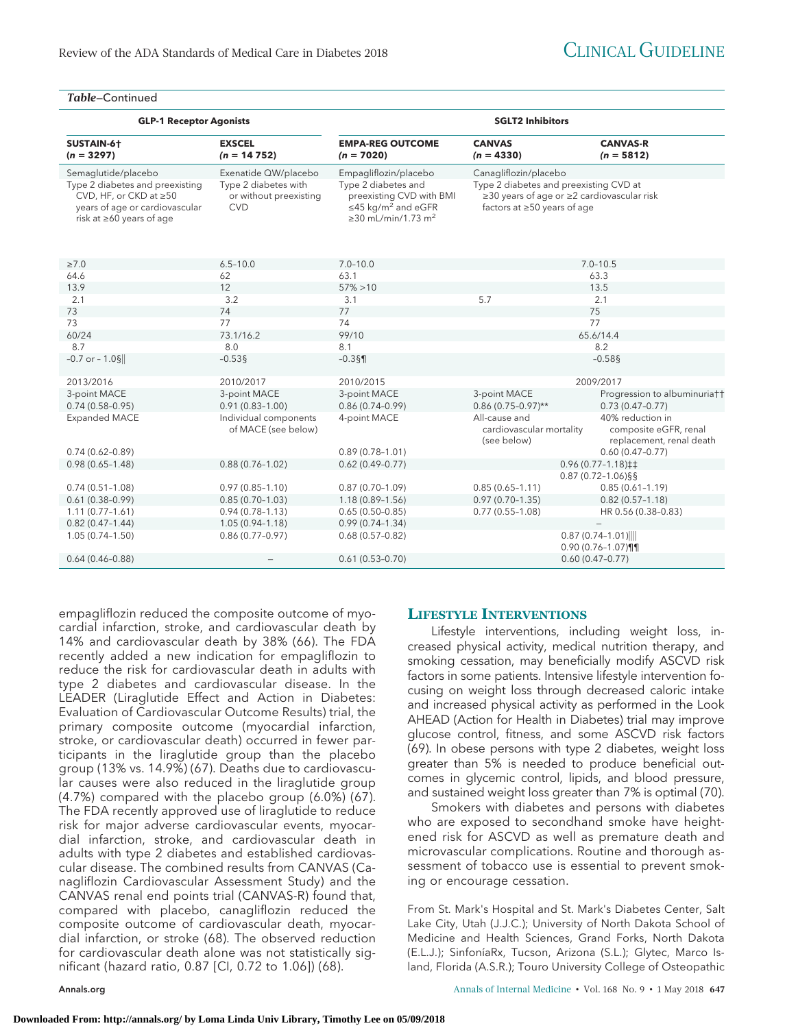#### *Table*—Continued

| <b>GLP-1 Receptor Agonists</b>                                                                                                                 |                                                                                      | <b>SGLT2 Inhibitors</b>                                                                                                                      |                                                                                                                                              |                                                                       |  |  |  |
|------------------------------------------------------------------------------------------------------------------------------------------------|--------------------------------------------------------------------------------------|----------------------------------------------------------------------------------------------------------------------------------------------|----------------------------------------------------------------------------------------------------------------------------------------------|-----------------------------------------------------------------------|--|--|--|
| SUSTAIN-6+<br>$(n = 3297)$                                                                                                                     | <b>EXSCEL</b><br>$(n = 14752)$                                                       | <b>EMPA-REG OUTCOME</b><br>$(n = 7020)$                                                                                                      | <b>CANVAS</b><br>$(n = 4330)$                                                                                                                | <b>CANVAS-R</b><br>$(n = 5812)$                                       |  |  |  |
| Semaglutide/placebo<br>Type 2 diabetes and preexisting<br>CVD, HF, or CKD at ≥50<br>years of age or cardiovascular<br>risk at ≥60 years of age | Exenatide QW/placebo<br>Type 2 diabetes with<br>or without preexisting<br><b>CVD</b> | Empagliflozin/placebo<br>Type 2 diabetes and<br>preexisting CVD with BMI<br>≤45 kg/m <sup>2</sup> and eGFR<br>≥30 mL/min/1.73 m <sup>2</sup> | Canagliflozin/placebo<br>Type 2 diabetes and preexisting CVD at<br>≥30 years of age or ≥2 cardiovascular risk<br>factors at ≥50 years of age |                                                                       |  |  |  |
| $\geq 7.0$                                                                                                                                     | $6.5 - 10.0$                                                                         | $7.0 - 10.0$                                                                                                                                 |                                                                                                                                              | $7.0 - 10.5$                                                          |  |  |  |
| 64.6                                                                                                                                           | 62                                                                                   | 63.1                                                                                                                                         |                                                                                                                                              | 63.3                                                                  |  |  |  |
| 13.9                                                                                                                                           | 12                                                                                   | $57\% > 10$                                                                                                                                  |                                                                                                                                              | 13.5                                                                  |  |  |  |
| 2.1                                                                                                                                            | 3.2                                                                                  | 3.1                                                                                                                                          | 5.7                                                                                                                                          | 2.1                                                                   |  |  |  |
| 73                                                                                                                                             | 74                                                                                   | 77                                                                                                                                           |                                                                                                                                              | 75                                                                    |  |  |  |
| 73                                                                                                                                             | 77                                                                                   | 74                                                                                                                                           |                                                                                                                                              | 77                                                                    |  |  |  |
| 60/24                                                                                                                                          | 73.1/16.2                                                                            | 99/10                                                                                                                                        |                                                                                                                                              | 65.6/14.4                                                             |  |  |  |
| 8.7                                                                                                                                            | 8.0                                                                                  | 8.1                                                                                                                                          |                                                                                                                                              | 8.2                                                                   |  |  |  |
| $-0.7$ or $-1.0$ §                                                                                                                             | $-0.53$ §                                                                            | $-0.3$ §¶                                                                                                                                    |                                                                                                                                              | $-0.58$ §                                                             |  |  |  |
| 2013/2016                                                                                                                                      | 2010/2017                                                                            | 2010/2015                                                                                                                                    |                                                                                                                                              | 2009/2017                                                             |  |  |  |
| 3-point MACE<br>$0.74(0.58-0.95)$                                                                                                              | 3-point MACE<br>$0.91(0.83 - 1.00)$                                                  | 3-point MACE<br>$0.86(0.74-0.99)$                                                                                                            | 3-point MACE<br>$0.86(0.75-0.97)$ **                                                                                                         | Progression to albuminuria††<br>$0.73(0.47-0.77)$                     |  |  |  |
| Expanded MACE                                                                                                                                  | Individual components<br>of MACE (see below)                                         | 4-point MACE                                                                                                                                 | All-cause and<br>cardiovascular mortality<br>(see below)                                                                                     | 40% reduction in<br>composite eGFR, renal<br>replacement, renal death |  |  |  |
| $0.74(0.62 - 0.89)$                                                                                                                            |                                                                                      | $0.89(0.78 - 1.01)$                                                                                                                          |                                                                                                                                              | $0.60(0.47 - 0.77)$                                                   |  |  |  |
| $0.98(0.65 - 1.48)$                                                                                                                            | $0.88(0.76 - 1.02)$                                                                  | $0.62(0.49-0.77)$                                                                                                                            |                                                                                                                                              | $0.96(0.77 - 1.18) \ddagger$                                          |  |  |  |
|                                                                                                                                                |                                                                                      |                                                                                                                                              |                                                                                                                                              | $0.87(0.72 - 1.06)$ §§                                                |  |  |  |
| $0.74(0.51 - 1.08)$                                                                                                                            | $0.97(0.85 - 1.10)$                                                                  | $0.87(0.70-1.09)$                                                                                                                            | $0.85(0.65 - 1.11)$                                                                                                                          | $0.85(0.61 - 1.19)$                                                   |  |  |  |
| $0.61(0.38-0.99)$                                                                                                                              | $0.85(0.70-1.03)$                                                                    | $1.18(0.89 - 1.56)$                                                                                                                          | $0.97(0.70-1.35)$                                                                                                                            | $0.82(0.57 - 1.18)$                                                   |  |  |  |
| $1.11(0.77-1.61)$                                                                                                                              | $0.94(0.78 - 1.13)$                                                                  | $0.65(0.50-0.85)$                                                                                                                            | $0.77(0.55 - 1.08)$                                                                                                                          | HR 0.56 (0.38-0.83)                                                   |  |  |  |
| $0.82(0.47 - 1.44)$                                                                                                                            | $1.05(0.94 - 1.18)$                                                                  | $0.99(0.74 - 1.34)$                                                                                                                          |                                                                                                                                              |                                                                       |  |  |  |
| $1.05(0.74 - 1.50)$                                                                                                                            | $0.86(0.77-0.97)$                                                                    | $0.68(0.57-0.82)$                                                                                                                            |                                                                                                                                              | $0.87(0.74 - 1.01)$<br>$0.90(0.76 - 1.07)$ ¶¶                         |  |  |  |
| $0.64(0.46 - 0.88)$                                                                                                                            |                                                                                      | $0.61(0.53 - 0.70)$                                                                                                                          |                                                                                                                                              | $0.60(0.47 - 0.77)$                                                   |  |  |  |

empagliflozin reduced the composite outcome of myocardial infarction, stroke, and cardiovascular death by 14% and cardiovascular death by 38% (66). The FDA recently added a new indication for empagliflozin to reduce the risk for cardiovascular death in adults with type 2 diabetes and cardiovascular disease. In the LEADER (Liraglutide Effect and Action in Diabetes: Evaluation of Cardiovascular Outcome Results) trial, the primary composite outcome (myocardial infarction, stroke, or cardiovascular death) occurred in fewer participants in the liraglutide group than the placebo group (13% vs. 14.9%) (67). Deaths due to cardiovascular causes were also reduced in the liraglutide group (4.7%) compared with the placebo group (6.0%) (67). The FDA recently approved use of liraglutide to reduce risk for major adverse cardiovascular events, myocardial infarction, stroke, and cardiovascular death in adults with type 2 diabetes and established cardiovascular disease. The combined results from CANVAS (Canagliflozin Cardiovascular Assessment Study) and the CANVAS renal end points trial (CANVAS-R) found that, compared with placebo, canagliflozin reduced the composite outcome of cardiovascular death, myocardial infarction, or stroke (68). The observed reduction for cardiovascular death alone was not statistically significant (hazard ratio, 0.87 [CI, 0.72 to 1.06]) (68).

### **LIFESTYLE INTERVENTIONS**

Lifestyle interventions, including weight loss, increased physical activity, medical nutrition therapy, and smoking cessation, may beneficially modify ASCVD risk factors in some patients. Intensive lifestyle intervention focusing on weight loss through decreased caloric intake and increased physical activity as performed in the Look AHEAD (Action for Health in Diabetes) trial may improve glucose control, fitness, and some ASCVD risk factors (69). In obese persons with type 2 diabetes, weight loss greater than 5% is needed to produce beneficial outcomes in glycemic control, lipids, and blood pressure, and sustained weight loss greater than 7% is optimal (70).

Smokers with diabetes and persons with diabetes who are exposed to secondhand smoke have heightened risk for ASCVD as well as premature death and microvascular complications. Routine and thorough assessment of tobacco use is essential to prevent smoking or encourage cessation.

From St. Mark's Hospital and St. Mark's Diabetes Center, Salt Lake City, Utah (J.J.C.); University of North Dakota School of Medicine and Health Sciences, Grand Forks, North Dakota (E.L.J.); SinfoníaRx, Tucson, Arizona (S.L.); Glytec, Marco Island, Florida (A.S.R.); Touro University College of Osteopathic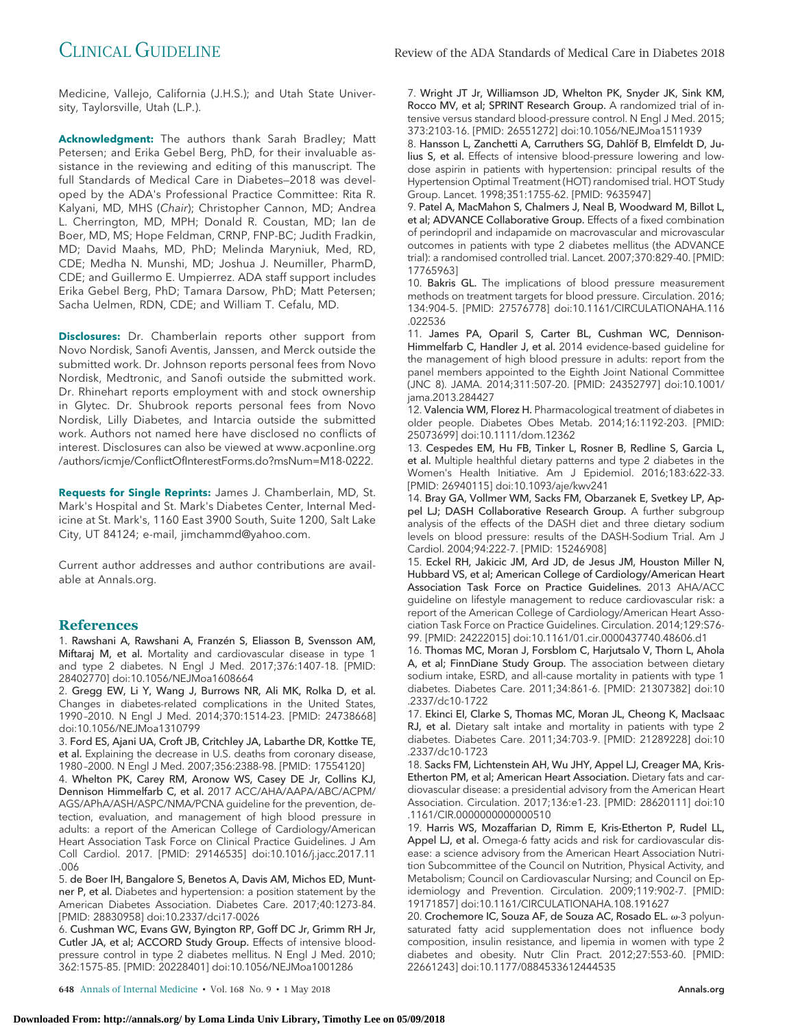Medicine, Vallejo, California (J.H.S.); and Utah State University, Taylorsville, Utah (L.P.).

**Acknowledgment:** The authors thank Sarah Bradley; Matt Petersen; and Erika Gebel Berg, PhD, for their invaluable assistance in the reviewing and editing of this manuscript. The full Standards of Medical Care in Diabetes—2018 was developed by the ADA's Professional Practice Committee: Rita R. Kalyani, MD, MHS (Chair); Christopher Cannon, MD; Andrea L. Cherrington, MD, MPH; Donald R. Coustan, MD; Ian de Boer, MD, MS; Hope Feldman, CRNP, FNP-BC; Judith Fradkin, MD; David Maahs, MD, PhD; Melinda Maryniuk, Med, RD, CDE; Medha N. Munshi, MD; Joshua J. Neumiller, PharmD, CDE; and Guillermo E. Umpierrez. ADA staff support includes Erika Gebel Berg, PhD; Tamara Darsow, PhD; Matt Petersen; Sacha Uelmen, RDN, CDE; and William T. Cefalu, MD.

**Disclosures:** Dr. Chamberlain reports other support from Novo Nordisk, Sanofi Aventis, Janssen, and Merck outside the submitted work. Dr. Johnson reports personal fees from Novo Nordisk, Medtronic, and Sanofi outside the submitted work. Dr. Rhinehart reports employment with and stock ownership in Glytec. Dr. Shubrook reports personal fees from Novo Nordisk, Lilly Diabetes, and Intarcia outside the submitted work. Authors not named here have disclosed no conflicts of interest. Disclosures can also be viewed at [www.acponline.org](http://www.acponline.org/authors/icmje/ConflictOfInterestForms.do?msNum=M18-0222) [/authors/icmje/ConflictOfInterestForms.do?msNum=M18-0222.](http://www.acponline.org/authors/icmje/ConflictOfInterestForms.do?msNum=M18-0222)

**Requests for Single Reprints:** James J. Chamberlain, MD, St. Mark's Hospital and St. Mark's Diabetes Center, Internal Medicine at St. Mark's, 1160 East 3900 South, Suite 1200, Salt Lake City, UT 84124; e-mail, [jimchammd@yahoo.com.](mailto:jimchammd@yahoo.com)

Current author addresses and author contributions are available at [Annals.org.](http://www.annals.org)

#### **References**

1. Rawshani A, Rawshani A, Franzén S, Eliasson B, Svensson AM, Miftaraj M, et al. Mortality and cardiovascular disease in type 1 and type 2 diabetes. N Engl J Med. 2017;376:1407-18. [PMID: 28402770] doi:10.1056/NEJMoa1608664

2. Gregg EW, Li Y, Wang J, Burrows NR, Ali MK, Rolka D, et al. Changes in diabetes-related complications in the United States, 1990 –2010. N Engl J Med. 2014;370:1514-23. [PMID: 24738668] doi:10.1056/NEJMoa1310799

3. Ford ES, Ajani UA, Croft JB, Critchley JA, Labarthe DR, Kottke TE, et al. Explaining the decrease in U.S. deaths from coronary disease, 1980 –2000. N Engl J Med. 2007;356:2388-98. [PMID: 17554120]

4. Whelton PK, Carey RM, Aronow WS, Casey DE Jr, Collins KJ, Dennison Himmelfarb C, et al. 2017 ACC/AHA/AAPA/ABC/ACPM/ AGS/APhA/ASH/ASPC/NMA/PCNA guideline for the prevention, detection, evaluation, and management of high blood pressure in adults: a report of the American College of Cardiology/American Heart Association Task Force on Clinical Practice Guidelines. J Am Coll Cardiol. 2017. [PMID: 29146535] doi:10.1016/j.jacc.2017.11 .006

5. de Boer IH, Bangalore S, Benetos A, Davis AM, Michos ED, Muntner P, et al. Diabetes and hypertension: a position statement by the American Diabetes Association. Diabetes Care. 2017;40:1273-84. [PMID: 28830958] doi:10.2337/dci17-0026

6. Cushman WC, Evans GW, Byington RP, Goff DC Jr, Grimm RH Jr, Cutler JA, et al; ACCORD Study Group. Effects of intensive bloodpressure control in type 2 diabetes mellitus. N Engl J Med. 2010; 362:1575-85. [PMID: 20228401] doi:10.1056/NEJMoa1001286

7. Wright JT Jr, Williamson JD, Whelton PK, Snyder JK, Sink KM, Rocco MV, et al; SPRINT Research Group. A randomized trial of intensive versus standard blood-pressure control. N Engl J Med. 2015; 373:2103-16. [PMID: 26551272] doi:10.1056/NEJMoa1511939

8. Hansson L, Zanchetti A, Carruthers SG, Dahlöf B, Elmfeldt D, Julius S, et al. Effects of intensive blood-pressure lowering and lowdose aspirin in patients with hypertension: principal results of the Hypertension Optimal Treatment (HOT) randomised trial. HOT Study Group. Lancet. 1998;351:1755-62. [PMID: 9635947]

9. Patel A, MacMahon S, Chalmers J, Neal B, Woodward M, Billot L, et al; ADVANCE Collaborative Group. Effects of a fixed combination of perindopril and indapamide on macrovascular and microvascular outcomes in patients with type 2 diabetes mellitus (the ADVANCE trial): a randomised controlled trial. Lancet. 2007;370:829-40. [PMID: 17765963]

10. Bakris GL. The implications of blood pressure measurement methods on treatment targets for blood pressure. Circulation. 2016; 134:904-5. [PMID: 27576778] doi:10.1161/CIRCULATIONAHA.116 .022536

11. James PA, Oparil S, Carter BL, Cushman WC, Dennison-Himmelfarb C, Handler J, et al. 2014 evidence-based guideline for the management of high blood pressure in adults: report from the panel members appointed to the Eighth Joint National Committee (JNC 8). JAMA. 2014;311:507-20. [PMID: 24352797] doi:10.1001/ jama.2013.284427

12. Valencia WM, Florez H. Pharmacological treatment of diabetes in older people. Diabetes Obes Metab. 2014;16:1192-203. [PMID: 25073699] doi:10.1111/dom.12362

13. Cespedes EM, Hu FB, Tinker L, Rosner B, Redline S, Garcia L, et al. Multiple healthful dietary patterns and type 2 diabetes in the Women's Health Initiative. Am J Epidemiol. 2016;183:622-33. [PMID: 26940115] doi:10.1093/aje/kwv241

14. Bray GA, Vollmer WM, Sacks FM, Obarzanek E, Svetkey LP, Appel LJ; DASH Collaborative Research Group. A further subgroup analysis of the effects of the DASH diet and three dietary sodium levels on blood pressure: results of the DASH-Sodium Trial. Am J Cardiol. 2004;94:222-7. [PMID: 15246908]

15. Eckel RH, Jakicic JM, Ard JD, de Jesus JM, Houston Miller N, Hubbard VS, et al; American College of Cardiology/American Heart Association Task Force on Practice Guidelines. 2013 AHA/ACC guideline on lifestyle management to reduce cardiovascular risk: a report of the American College of Cardiology/American Heart Association Task Force on Practice Guidelines. Circulation. 2014;129:S76- 99. [PMID: 24222015] doi:10.1161/01.cir.0000437740.48606.d1

16. Thomas MC, Moran J, Forsblom C, Harjutsalo V, Thorn L, Ahola A, et al; FinnDiane Study Group. The association between dietary sodium intake, ESRD, and all-cause mortality in patients with type 1 diabetes. Diabetes Care. 2011;34:861-6. [PMID: 21307382] doi:10 .2337/dc10-1722

17. Ekinci EI, Clarke S, Thomas MC, Moran JL, Cheong K, MacIsaac RJ, et al. Dietary salt intake and mortality in patients with type 2 diabetes. Diabetes Care. 2011;34:703-9. [PMID: 21289228] doi:10 .2337/dc10-1723

18. Sacks FM, Lichtenstein AH, Wu JHY, Appel LJ, Creager MA, Kris-Etherton PM, et al; American Heart Association. Dietary fats and cardiovascular disease: a presidential advisory from the American Heart Association. Circulation. 2017;136:e1-23. [PMID: 28620111] doi:10 .1161/CIR.0000000000000510

19. Harris WS, Mozaffarian D, Rimm E, Kris-Etherton P, Rudel LL, Appel LJ, et al. Omega-6 fatty acids and risk for cardiovascular disease: a science advisory from the American Heart Association Nutrition Subcommittee of the Council on Nutrition, Physical Activity, and Metabolism; Council on Cardiovascular Nursing; and Council on Epidemiology and Prevention. Circulation. 2009;119:902-7. [PMID: 19171857] doi:10.1161/CIRCULATIONAHA.108.191627

20. Crochemore IC, Souza AF, de Souza AC, Rosado EL. @-3 polyunsaturated fatty acid supplementation does not influence body composition, insulin resistance, and lipemia in women with type 2 diabetes and obesity. Nutr Clin Pract. 2012;27:553-60. [PMID: 22661243] doi:10.1177/0884533612444535

**648** Annals of Internal Medicine • Vol. 168 No. 9 • 1 May 2018 [Annals.org](http://www.annals.org)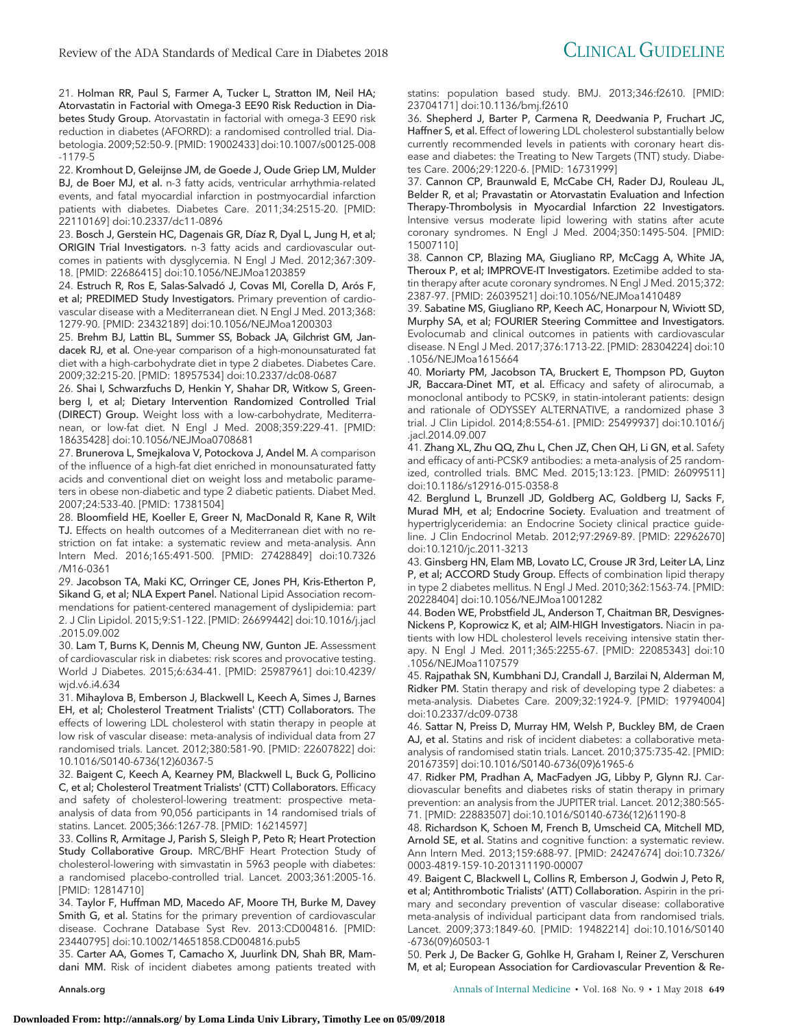21. Holman RR, Paul S, Farmer A, Tucker L, Stratton IM, Neil HA; Atorvastatin in Factorial with Omega-3 EE90 Risk Reduction in Diabetes Study Group. Atorvastatin in factorial with omega-3 EE90 risk reduction in diabetes (AFORRD): a randomised controlled trial. Diabetologia. 2009;52:50-9. [PMID: 19002433] doi:10.1007/s00125-008 -1179-5

22. Kromhout D, Geleijnse JM, de Goede J, Oude Griep LM, Mulder BJ, de Boer MJ, et al. n-3 fatty acids, ventricular arrhythmia-related events, and fatal myocardial infarction in postmyocardial infarction patients with diabetes. Diabetes Care. 2011;34:2515-20. [PMID: 22110169] doi:10.2337/dc11-0896

23. Bosch J, Gerstein HC, Dagenais GR, Díaz R, Dyal L, Jung H, et al; ORIGIN Trial Investigators. n-3 fatty acids and cardiovascular outcomes in patients with dysglycemia. N Engl J Med. 2012;367:309- 18. [PMID: 22686415] doi:10.1056/NEJMoa1203859

24. Estruch R, Ros E, Salas-Salvadó J, Covas MI, Corella D, Arós F, et al; PREDIMED Study Investigators. Primary prevention of cardiovascular disease with a Mediterranean diet. N Engl J Med. 2013;368: 1279-90. [PMID: 23432189] doi:10.1056/NEJMoa1200303

25. Brehm BJ, Lattin BL, Summer SS, Boback JA, Gilchrist GM, Jandacek RJ, et al. One-year comparison of a high-monounsaturated fat diet with a high-carbohydrate diet in type 2 diabetes. Diabetes Care. 2009;32:215-20. [PMID: 18957534] doi:10.2337/dc08-0687

26. Shai I, Schwarzfuchs D, Henkin Y, Shahar DR, Witkow S, Greenberg I, et al; Dietary Intervention Randomized Controlled Trial (DIRECT) Group. Weight loss with a low-carbohydrate, Mediterranean, or low-fat diet. N Engl J Med. 2008;359:229-41. [PMID: 18635428] doi:10.1056/NEJMoa0708681

27. Brunerova L, Smejkalova V, Potockova J, Andel M. A comparison of the influence of a high-fat diet enriched in monounsaturated fatty acids and conventional diet on weight loss and metabolic parameters in obese non-diabetic and type 2 diabetic patients. Diabet Med. 2007;24:533-40. [PMID: 17381504]

28. Bloomfield HE, Koeller E, Greer N, MacDonald R, Kane R, Wilt TJ. Effects on health outcomes of a Mediterranean diet with no restriction on fat intake: a systematic review and meta-analysis. Ann Intern Med. 2016;165:491-500. [PMID: 27428849] doi:10.7326 /M16-0361

29. Jacobson TA, Maki KC, Orringer CE, Jones PH, Kris-Etherton P, Sikand G, et al; NLA Expert Panel. National Lipid Association recommendations for patient-centered management of dyslipidemia: part 2. J Clin Lipidol. 2015;9:S1-122. [PMID: 26699442] doi:10.1016/j.jacl .2015.09.002

30. Lam T, Burns K, Dennis M, Cheung NW, Gunton JE. Assessment of cardiovascular risk in diabetes: risk scores and provocative testing. World J Diabetes. 2015;6:634-41. [PMID: 25987961] doi:10.4239/ wjd.v6.i4.634

31. Mihaylova B, Emberson J, Blackwell L, Keech A, Simes J, Barnes EH, et al; Cholesterol Treatment Trialists' (CTT) Collaborators. The effects of lowering LDL cholesterol with statin therapy in people at low risk of vascular disease: meta-analysis of individual data from 27 randomised trials. Lancet. 2012;380:581-90. [PMID: 22607822] doi: 10.1016/S0140-6736(12)60367-5

32. Baigent C, Keech A, Kearney PM, Blackwell L, Buck G, Pollicino C, et al; Cholesterol Treatment Trialists' (CTT) Collaborators. Efficacy and safety of cholesterol-lowering treatment: prospective metaanalysis of data from 90,056 participants in 14 randomised trials of statins. Lancet. 2005;366:1267-78. [PMID: 16214597]

33. Collins R, Armitage J, Parish S, Sleigh P, Peto R; Heart Protection Study Collaborative Group. MRC/BHF Heart Protection Study of cholesterol-lowering with simvastatin in 5963 people with diabetes: a randomised placebo-controlled trial. Lancet. 2003;361:2005-16. [PMID: 12814710]

34. Taylor F, Huffman MD, Macedo AF, Moore TH, Burke M, Davey Smith G, et al. Statins for the primary prevention of cardiovascular disease. Cochrane Database Syst Rev. 2013:CD004816. [PMID: 23440795] doi:10.1002/14651858.CD004816.pub5

35. Carter AA, Gomes T, Camacho X, Juurlink DN, Shah BR, Mamdani MM. Risk of incident diabetes among patients treated with statins: population based study. BMJ. 2013;346:f2610. [PMID: 23704171] doi:10.1136/bmj.f2610

36. Shepherd J, Barter P, Carmena R, Deedwania P, Fruchart JC, Haffner S, et al. Effect of lowering LDL cholesterol substantially below currently recommended levels in patients with coronary heart disease and diabetes: the Treating to New Targets (TNT) study. Diabetes Care. 2006;29:1220-6. [PMID: 16731999]

37. Cannon CP, Braunwald E, McCabe CH, Rader DJ, Rouleau JL, Belder R, et al; Pravastatin or Atorvastatin Evaluation and Infection Therapy-Thrombolysis in Myocardial Infarction 22 Investigators. Intensive versus moderate lipid lowering with statins after acute coronary syndromes. N Engl J Med. 2004;350:1495-504. [PMID: 15007110]

38. Cannon CP, Blazing MA, Giugliano RP, McCagg A, White JA, Theroux P, et al; IMPROVE-IT Investigators. Ezetimibe added to statin therapy after acute coronary syndromes. N Engl J Med. 2015;372: 2387-97. [PMID: 26039521] doi:10.1056/NEJMoa1410489

39. Sabatine MS, Giugliano RP, Keech AC, Honarpour N, Wiviott SD, Murphy SA, et al; FOURIER Steering Committee and Investigators. Evolocumab and clinical outcomes in patients with cardiovascular disease. N Engl J Med. 2017;376:1713-22. [PMID: 28304224] doi:10 .1056/NEJMoa1615664

40. Moriarty PM, Jacobson TA, Bruckert E, Thompson PD, Guyton JR, Baccara-Dinet MT, et al. Efficacy and safety of alirocumab, a monoclonal antibody to PCSK9, in statin-intolerant patients: design and rationale of ODYSSEY ALTERNATIVE, a randomized phase 3 trial. J Clin Lipidol. 2014;8:554-61. [PMID: 25499937] doi:10.1016/j .jacl.2014.09.007

41. Zhang XL, Zhu QQ, Zhu L, Chen JZ, Chen QH, Li GN, et al. Safety and efficacy of anti-PCSK9 antibodies: a meta-analysis of 25 randomized, controlled trials. BMC Med. 2015;13:123. [PMID: 26099511] doi:10.1186/s12916-015-0358-8

42. Berglund L, Brunzell JD, Goldberg AC, Goldberg IJ, Sacks F, Murad MH, et al; Endocrine Society. Evaluation and treatment of hypertriglyceridemia: an Endocrine Society clinical practice guideline. J Clin Endocrinol Metab. 2012;97:2969-89. [PMID: 22962670] doi:10.1210/jc.2011-3213

43. Ginsberg HN, Elam MB, Lovato LC, Crouse JR 3rd, Leiter LA, Linz P, et al; ACCORD Study Group. Effects of combination lipid therapy in type 2 diabetes mellitus. N Engl J Med. 2010;362:1563-74. [PMID: 20228404] doi:10.1056/NEJMoa1001282

44. Boden WE, Probstfield JL, Anderson T, Chaitman BR, Desvignes-Nickens P, Koprowicz K, et al; AIM-HIGH Investigators. Niacin in patients with low HDL cholesterol levels receiving intensive statin therapy. N Engl J Med. 2011;365:2255-67. [PMID: 22085343] doi:10 .1056/NEJMoa1107579

45. Rajpathak SN, Kumbhani DJ, Crandall J, Barzilai N, Alderman M, Ridker PM. Statin therapy and risk of developing type 2 diabetes: a meta-analysis. Diabetes Care. 2009;32:1924-9. [PMID: 19794004] doi:10.2337/dc09-0738

46. Sattar N, Preiss D, Murray HM, Welsh P, Buckley BM, de Craen AJ, et al. Statins and risk of incident diabetes: a collaborative metaanalysis of randomised statin trials. Lancet. 2010;375:735-42. [PMID: 20167359] doi:10.1016/S0140-6736(09)61965-6

47. Ridker PM, Pradhan A, MacFadyen JG, Libby P, Glynn RJ. Cardiovascular benefits and diabetes risks of statin therapy in primary prevention: an analysis from the JUPITER trial. Lancet. 2012;380:565- 71. [PMID: 22883507] doi:10.1016/S0140-6736(12)61190-8

48. Richardson K, Schoen M, French B, Umscheid CA, Mitchell MD, Arnold SE, et al. Statins and cognitive function: a systematic review. Ann Intern Med. 2013;159:688-97. [PMID: 24247674] doi:10.7326/ 0003-4819-159-10-201311190-00007

49. Baigent C, Blackwell L, Collins R, Emberson J, Godwin J, Peto R, et al; Antithrombotic Trialists' (ATT) Collaboration. Aspirin in the primary and secondary prevention of vascular disease: collaborative meta-analysis of individual participant data from randomised trials. Lancet. 2009;373:1849-60. [PMID: 19482214] doi:10.1016/S0140 -6736(09)60503-1

50. Perk J, De Backer G, Gohlke H, Graham I, Reiner Z, Verschuren M, et al; European Association for Cardiovascular Prevention & Re-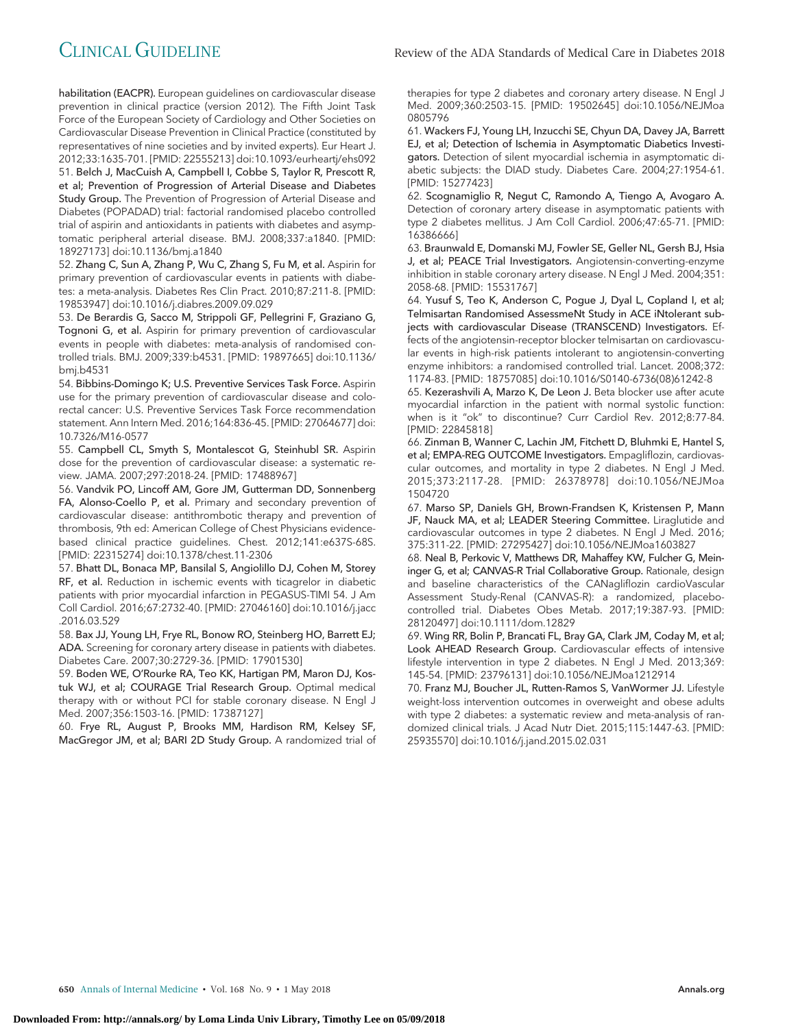habilitation (EACPR). European guidelines on cardiovascular disease prevention in clinical practice (version 2012). The Fifth Joint Task Force of the European Society of Cardiology and Other Societies on Cardiovascular Disease Prevention in Clinical Practice (constituted by representatives of nine societies and by invited experts). Eur Heart J. 2012;33:1635-701. [PMID: 22555213] doi:10.1093/eurheartj/ehs092 51. Belch J, MacCuish A, Campbell I, Cobbe S, Taylor R, Prescott R, et al; Prevention of Progression of Arterial Disease and Diabetes Study Group. The Prevention of Progression of Arterial Disease and Diabetes (POPADAD) trial: factorial randomised placebo controlled trial of aspirin and antioxidants in patients with diabetes and asymptomatic peripheral arterial disease. BMJ. 2008;337:a1840. [PMID: 18927173] doi:10.1136/bmj.a1840

52. Zhang C, Sun A, Zhang P, Wu C, Zhang S, Fu M, et al. Aspirin for primary prevention of cardiovascular events in patients with diabetes: a meta-analysis. Diabetes Res Clin Pract. 2010;87:211-8. [PMID: 19853947] doi:10.1016/j.diabres.2009.09.029

53. De Berardis G, Sacco M, Strippoli GF, Pellegrini F, Graziano G, Tognoni G, et al. Aspirin for primary prevention of cardiovascular events in people with diabetes: meta-analysis of randomised controlled trials. BMJ. 2009;339:b4531. [PMID: 19897665] doi:10.1136/ bmj.b4531

54. Bibbins-Domingo K; U.S. Preventive Services Task Force. Aspirin use for the primary prevention of cardiovascular disease and colorectal cancer: U.S. Preventive Services Task Force recommendation statement. Ann Intern Med. 2016;164:836-45. [PMID: 27064677] doi: 10.7326/M16-0577

55. Campbell CL, Smyth S, Montalescot G, Steinhubl SR. Aspirin dose for the prevention of cardiovascular disease: a systematic review. JAMA. 2007;297:2018-24. [PMID: 17488967]

56. Vandvik PO, Lincoff AM, Gore JM, Gutterman DD, Sonnenberg FA, Alonso-Coello P, et al. Primary and secondary prevention of cardiovascular disease: antithrombotic therapy and prevention of thrombosis, 9th ed: American College of Chest Physicians evidencebased clinical practice guidelines. Chest. 2012;141:e637S-68S. [PMID: 22315274] doi:10.1378/chest.11-2306

57. Bhatt DL, Bonaca MP, Bansilal S, Angiolillo DJ, Cohen M, Storey RF, et al. Reduction in ischemic events with ticagrelor in diabetic patients with prior myocardial infarction in PEGASUS-TIMI 54. J Am Coll Cardiol. 2016;67:2732-40. [PMID: 27046160] doi:10.1016/j.jacc .2016.03.529

58. Bax JJ, Young LH, Frye RL, Bonow RO, Steinberg HO, Barrett EJ; ADA. Screening for coronary artery disease in patients with diabetes. Diabetes Care. 2007;30:2729-36. [PMID: 17901530]

59. Boden WE, O'Rourke RA, Teo KK, Hartigan PM, Maron DJ, Kostuk WJ, et al; COURAGE Trial Research Group. Optimal medical therapy with or without PCI for stable coronary disease. N Engl J Med. 2007;356:1503-16. [PMID: 17387127]

60. Frye RL, August P, Brooks MM, Hardison RM, Kelsey SF, MacGregor JM, et al; BARI 2D Study Group. A randomized trial of therapies for type 2 diabetes and coronary artery disease. N Engl J Med. 2009;360:2503-15. [PMID: 19502645] doi:10.1056/NEJMoa 0805796

61. Wackers FJ, Young LH, Inzucchi SE, Chyun DA, Davey JA, Barrett EJ, et al; Detection of Ischemia in Asymptomatic Diabetics Investigators. Detection of silent myocardial ischemia in asymptomatic diabetic subjects: the DIAD study. Diabetes Care. 2004;27:1954-61. [PMID: 15277423]

62. Scognamiglio R, Negut C, Ramondo A, Tiengo A, Avogaro A. Detection of coronary artery disease in asymptomatic patients with type 2 diabetes mellitus. J Am Coll Cardiol. 2006;47:65-71. [PMID: 16386666]

63. Braunwald E, Domanski MJ, Fowler SE, Geller NL, Gersh BJ, Hsia J, et al; PEACE Trial Investigators. Angiotensin-converting-enzyme inhibition in stable coronary artery disease. N Engl J Med. 2004;351: 2058-68. [PMID: 15531767]

64. Yusuf S, Teo K, Anderson C, Pogue J, Dyal L, Copland I, et al; Telmisartan Randomised AssessmeNt Study in ACE iNtolerant subjects with cardiovascular Disease (TRANSCEND) Investigators. Effects of the angiotensin-receptor blocker telmisartan on cardiovascular events in high-risk patients intolerant to angiotensin-converting enzyme inhibitors: a randomised controlled trial. Lancet. 2008;372: 1174-83. [PMID: 18757085] doi:10.1016/S0140-6736(08)61242-8

65. Kezerashvili A, Marzo K, De Leon J. Beta blocker use after acute myocardial infarction in the patient with normal systolic function: when is it "ok" to discontinue? Curr Cardiol Rev. 2012;8:77-84. [PMID: 22845818]

66. Zinman B, Wanner C, Lachin JM, Fitchett D, Bluhmki E, Hantel S, et al; EMPA-REG OUTCOME Investigators. Empagliflozin, cardiovascular outcomes, and mortality in type 2 diabetes. N Engl J Med. 2015;373:2117-28. [PMID: 26378978] doi:10.1056/NEJMoa 1504720

67. Marso SP, Daniels GH, Brown-Frandsen K, Kristensen P, Mann JF, Nauck MA, et al; LEADER Steering Committee. Liraglutide and cardiovascular outcomes in type 2 diabetes. N Engl J Med. 2016; 375:311-22. [PMID: 27295427] doi:10.1056/NEJMoa1603827

68. Neal B, Perkovic V, Matthews DR, Mahaffey KW, Fulcher G, Meininger G, et al; CANVAS-R Trial Collaborative Group. Rationale, design and baseline characteristics of the CANagliflozin cardioVascular Assessment Study-Renal (CANVAS-R): a randomized, placebocontrolled trial. Diabetes Obes Metab. 2017;19:387-93. [PMID: 28120497] doi:10.1111/dom.12829

69. Wing RR, Bolin P, Brancati FL, Bray GA, Clark JM, Coday M, et al; Look AHEAD Research Group. Cardiovascular effects of intensive lifestyle intervention in type 2 diabetes. N Engl J Med. 2013;369: 145-54. [PMID: 23796131] doi:10.1056/NEJMoa1212914

70. Franz MJ, Boucher JL, Rutten-Ramos S, VanWormer JJ. Lifestyle weight-loss intervention outcomes in overweight and obese adults with type 2 diabetes: a systematic review and meta-analysis of randomized clinical trials. J Acad Nutr Diet. 2015;115:1447-63. [PMID: 25935570] doi:10.1016/j.jand.2015.02.031